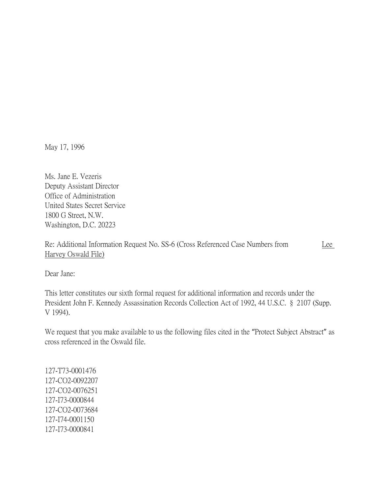May 17, 1996

Ms. Jane E. Vezeris Deputy Assistant Director Office of Administration United States Secret Service 1800 G Street, N.W. Washington, D.C. 20223

Re: Additional Information Request No. SS-6 (Cross Referenced Case Numbers from Lee Harvey Oswald File)

Dear Jane:

This letter constitutes our sixth formal request for additional information and records under the President John F. Kennedy Assassination Records Collection Act of 1992, 44 U.S.C. § 2107 (Supp. V 1994).

We request that you make available to us the following files cited in the "Protect Subject Abstract" as cross referenced in the Oswald file.

127-T73-0001476 127-CO2-0092207 127-CO2-0076251 127-I73-0000844 127-CO2-0073684 127-I74-0001150 127-I73-0000841